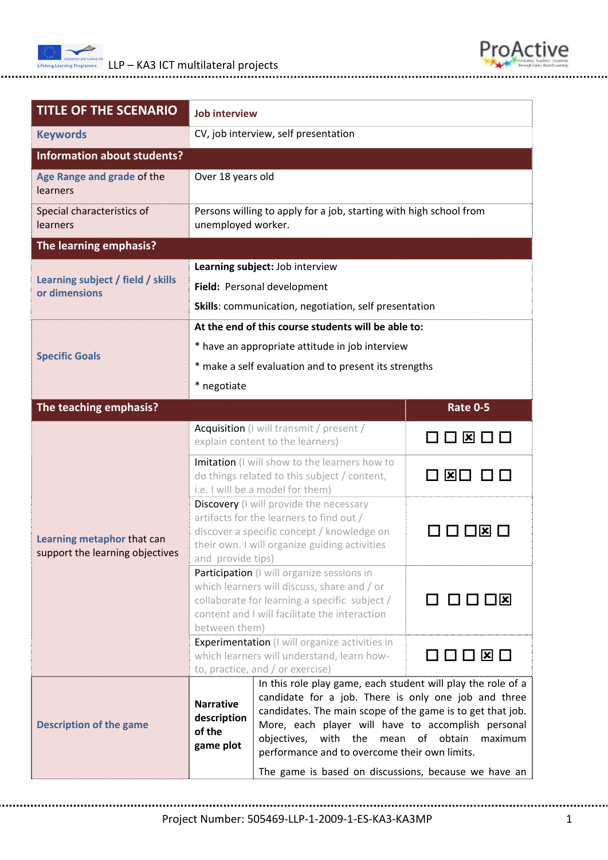



| <b>TITLE OF THE SCENARIO</b>                                  | <b>Job interview</b>                                                                                                                                                                                           |                                                                                                                                                                                                                                                                                                                                                                                |                        |  |
|---------------------------------------------------------------|----------------------------------------------------------------------------------------------------------------------------------------------------------------------------------------------------------------|--------------------------------------------------------------------------------------------------------------------------------------------------------------------------------------------------------------------------------------------------------------------------------------------------------------------------------------------------------------------------------|------------------------|--|
| <b>Keywords</b>                                               | CV, job interview, self presentation                                                                                                                                                                           |                                                                                                                                                                                                                                                                                                                                                                                |                        |  |
| <b>Information about students?</b>                            |                                                                                                                                                                                                                |                                                                                                                                                                                                                                                                                                                                                                                |                        |  |
| Age Range and grade of the<br>learners                        | Over 18 years old                                                                                                                                                                                              |                                                                                                                                                                                                                                                                                                                                                                                |                        |  |
| Special characteristics of<br>learners                        | Persons willing to apply for a job, starting with high school from<br>unemployed worker.                                                                                                                       |                                                                                                                                                                                                                                                                                                                                                                                |                        |  |
| The learning emphasis?                                        |                                                                                                                                                                                                                |                                                                                                                                                                                                                                                                                                                                                                                |                        |  |
| Learning subject / field / skills<br>or dimensions            | Learning subject: Job interview                                                                                                                                                                                |                                                                                                                                                                                                                                                                                                                                                                                |                        |  |
|                                                               | Field: Personal development                                                                                                                                                                                    |                                                                                                                                                                                                                                                                                                                                                                                |                        |  |
|                                                               | Skills: communication, negotiation, self presentation                                                                                                                                                          |                                                                                                                                                                                                                                                                                                                                                                                |                        |  |
|                                                               | At the end of this course students will be able to:                                                                                                                                                            |                                                                                                                                                                                                                                                                                                                                                                                |                        |  |
| <b>Specific Goals</b>                                         | * have an appropriate attitude in job interview                                                                                                                                                                |                                                                                                                                                                                                                                                                                                                                                                                |                        |  |
|                                                               | * make a self evaluation and to present its strengths                                                                                                                                                          |                                                                                                                                                                                                                                                                                                                                                                                |                        |  |
|                                                               | * negotiate                                                                                                                                                                                                    |                                                                                                                                                                                                                                                                                                                                                                                |                        |  |
| The teaching emphasis?                                        |                                                                                                                                                                                                                |                                                                                                                                                                                                                                                                                                                                                                                | <b>Rate 0-5</b>        |  |
| Learning metaphor that can<br>support the learning objectives | Acquisition (I will transmit / present /<br>explain content to the learners)                                                                                                                                   |                                                                                                                                                                                                                                                                                                                                                                                | ⊠□□<br>$\Box$          |  |
|                                                               | Imitation (I will show to the learners how to<br>do things related to this subject / content,<br>i.e. I will be a model for them)                                                                              |                                                                                                                                                                                                                                                                                                                                                                                | ⊠⊡                     |  |
|                                                               | <b>Discovery</b> (I will provide the necessary<br>artifacts for the learners to find out /<br>discover a specific concept / knowledge on<br>their own. I will organize guiding activities<br>and provide tips) |                                                                                                                                                                                                                                                                                                                                                                                | $\vert x \vert$        |  |
|                                                               | Participation (I will organize sessions in<br>which learners will discuss, share and / or<br>collaborate for learning a specific subject /<br>content and I will facilitate the interaction<br>between them)   |                                                                                                                                                                                                                                                                                                                                                                                | $\Box$ $\Box$ $\times$ |  |
|                                                               | <b>Experimentation</b> (I will organize activities in<br>which learners will understand, learn how-<br>to, practice, and / or exercise)                                                                        |                                                                                                                                                                                                                                                                                                                                                                                | □□□□⊠□                 |  |
| <b>Description of the game</b>                                | <b>Narrative</b><br>description<br>of the<br>game plot                                                                                                                                                         | In this role play game, each student will play the role of a<br>candidate for a job. There is only one job and three<br>candidates. The main scope of the game is to get that job.<br>More, each player will have to accomplish personal<br>objectives, with the mean<br>performance and to overcome their own limits.<br>The game is based on discussions, because we have an | of obtain<br>maximum   |  |

Project Number: 505469‐LLP‐1‐2009‐1‐ES‐KA3‐KA3MP 1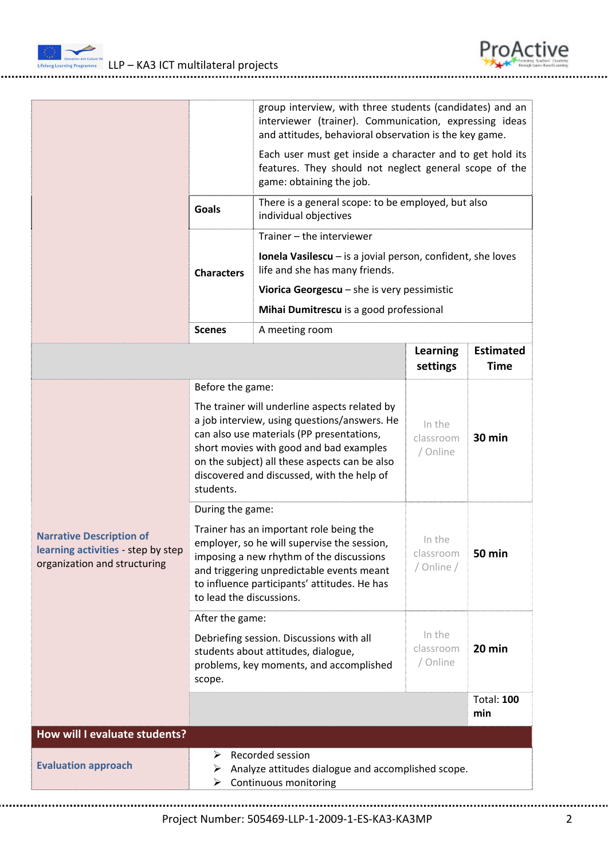



|                                                                                                       | group interview, with three students (candidates) and an<br>interviewer (trainer). Communication, expressing ideas<br>and attitudes, behavioral observation is the key game.                                                                                                                      |                                                                                                                                                 |                                   |                                 |
|-------------------------------------------------------------------------------------------------------|---------------------------------------------------------------------------------------------------------------------------------------------------------------------------------------------------------------------------------------------------------------------------------------------------|-------------------------------------------------------------------------------------------------------------------------------------------------|-----------------------------------|---------------------------------|
|                                                                                                       |                                                                                                                                                                                                                                                                                                   | Each user must get inside a character and to get hold its<br>features. They should not neglect general scope of the<br>game: obtaining the job. |                                   |                                 |
|                                                                                                       | <b>Goals</b>                                                                                                                                                                                                                                                                                      | There is a general scope: to be employed, but also<br>individual objectives                                                                     |                                   |                                 |
|                                                                                                       |                                                                                                                                                                                                                                                                                                   | Trainer - the interviewer                                                                                                                       |                                   |                                 |
|                                                                                                       | <b>Characters</b>                                                                                                                                                                                                                                                                                 | <b>Ionela Vasilescu</b> $-$ is a jovial person, confident, she loves<br>life and she has many friends.                                          |                                   |                                 |
|                                                                                                       |                                                                                                                                                                                                                                                                                                   | Viorica Georgescu $-$ she is very pessimistic                                                                                                   |                                   |                                 |
|                                                                                                       |                                                                                                                                                                                                                                                                                                   | Mihai Dumitrescu is a good professional                                                                                                         |                                   |                                 |
|                                                                                                       | <b>Scenes</b>                                                                                                                                                                                                                                                                                     | A meeting room                                                                                                                                  |                                   |                                 |
|                                                                                                       |                                                                                                                                                                                                                                                                                                   |                                                                                                                                                 | <b>Learning</b><br>settings       | <b>Estimated</b><br><b>Time</b> |
|                                                                                                       | Before the game:                                                                                                                                                                                                                                                                                  |                                                                                                                                                 |                                   |                                 |
|                                                                                                       | The trainer will underline aspects related by<br>a job interview, using questions/answers. He<br>can also use materials (PP presentations,<br>short movies with good and bad examples<br>on the subject) all these aspects can be also<br>discovered and discussed, with the help of<br>students. |                                                                                                                                                 | In the<br>classroom<br>/ Online   | 30 min                          |
|                                                                                                       | During the game:                                                                                                                                                                                                                                                                                  |                                                                                                                                                 |                                   |                                 |
| <b>Narrative Description of</b><br>learning activities - step by step<br>organization and structuring | Trainer has an important role being the<br>employer, so he will supervise the session,<br>imposing a new rhythm of the discussions<br>and triggering unpredictable events meant<br>to influence participants' attitudes. He has<br>to lead the discussions.                                       |                                                                                                                                                 | In the<br>classroom<br>/ Online / | <b>50 min</b>                   |
|                                                                                                       | After the game:                                                                                                                                                                                                                                                                                   |                                                                                                                                                 |                                   |                                 |
|                                                                                                       | Debriefing session. Discussions with all<br>students about attitudes, dialogue,<br>problems, key moments, and accomplished<br>scope.                                                                                                                                                              |                                                                                                                                                 | In the<br>classroom<br>/ Online   | 20 min                          |
|                                                                                                       |                                                                                                                                                                                                                                                                                                   |                                                                                                                                                 |                                   | <b>Total: 100</b><br>min        |
| How will I evaluate students?                                                                         |                                                                                                                                                                                                                                                                                                   |                                                                                                                                                 |                                   |                                 |
| <b>Evaluation approach</b>                                                                            | Recorded session<br>⋗<br>Analyze attitudes dialogue and accomplished scope.<br>➤<br>Continuous monitoring<br>➤                                                                                                                                                                                    |                                                                                                                                                 |                                   |                                 |